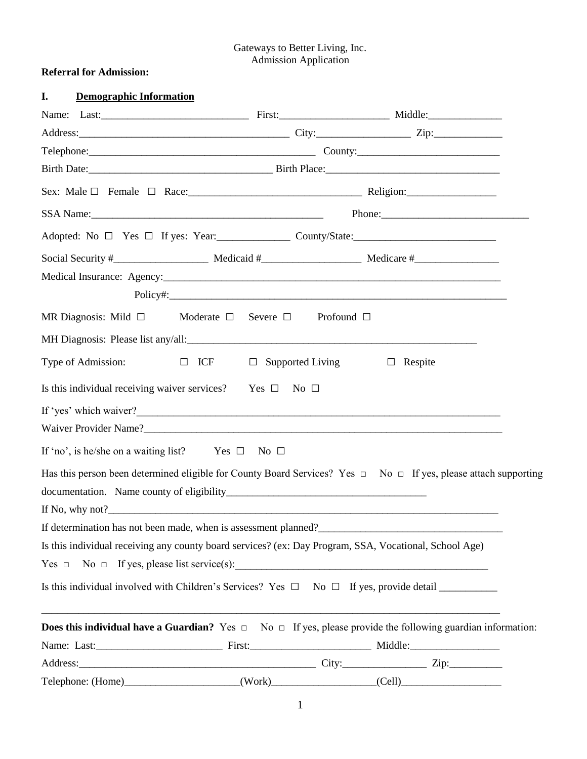### Gateways to Better Living, Inc. Admission Application

# **Referral for Admission:**

| I.                 | <b>Demographic Information</b> |                                                                                 |                         |                                                                                                                                                                                                                                |
|--------------------|--------------------------------|---------------------------------------------------------------------------------|-------------------------|--------------------------------------------------------------------------------------------------------------------------------------------------------------------------------------------------------------------------------|
|                    |                                |                                                                                 |                         |                                                                                                                                                                                                                                |
|                    |                                |                                                                                 |                         |                                                                                                                                                                                                                                |
|                    |                                |                                                                                 |                         |                                                                                                                                                                                                                                |
|                    |                                |                                                                                 |                         |                                                                                                                                                                                                                                |
|                    |                                |                                                                                 |                         |                                                                                                                                                                                                                                |
|                    |                                |                                                                                 |                         | SSA Name: Phone: Phone: Phone: Phone: Phone: Phone: Phone: Phone: Phone: Phone: Phone: Phone: Phone: Phone: Phone: Phone: Phone: Phone: Phone: Phone: Phone: Phone: Phone: Phone: Phone: Phone: Phone: Phone: Phone: Phone: Ph |
|                    |                                |                                                                                 |                         |                                                                                                                                                                                                                                |
|                    |                                |                                                                                 |                         |                                                                                                                                                                                                                                |
|                    |                                |                                                                                 |                         |                                                                                                                                                                                                                                |
|                    |                                |                                                                                 |                         | Policy#: New York: New York: New York: New York: New York: New York: New York: New York: New York: New York: New York: New York: New York: New York: New York: New York: New York: New York: New York: New York: New York: New |
|                    | MR Diagnosis: Mild $\Box$      | Moderate $\square$<br>Severe $\Box$                                             | Profound $\Box$         |                                                                                                                                                                                                                                |
|                    |                                | MH Diagnosis: Please list any/all:<br><u>MH Diagnosis:</u> Please list any/all: |                         |                                                                                                                                                                                                                                |
| Type of Admission: |                                | $\Box$ ICF                                                                      | $\Box$ Supported Living | $\Box$ Respite                                                                                                                                                                                                                 |
|                    |                                | Is this individual receiving waiver services? Yes $\square$ No $\square$        |                         |                                                                                                                                                                                                                                |
|                    |                                |                                                                                 |                         | If 'yes' which waiver?                                                                                                                                                                                                         |
|                    |                                |                                                                                 |                         |                                                                                                                                                                                                                                |
|                    |                                | If 'no', is he/she on a waiting list? Yes $\square$ No $\square$                |                         |                                                                                                                                                                                                                                |
|                    |                                |                                                                                 |                         | Has this person been determined eligible for County Board Services? Yes $\Box$ No $\Box$ If yes, please attach supporting                                                                                                      |
|                    |                                |                                                                                 |                         |                                                                                                                                                                                                                                |
|                    |                                |                                                                                 |                         |                                                                                                                                                                                                                                |
|                    |                                |                                                                                 |                         | If determination has not been made, when is assessment planned?<br><u>Lettermination</u> has not been made, when is assessment planned?<br><u>Lettermination</u>                                                               |
|                    |                                |                                                                                 |                         | Is this individual receiving any county board services? (ex: Day Program, SSA, Vocational, School Age)                                                                                                                         |
|                    |                                |                                                                                 |                         | $Yes \Box No \Box If yes, please list service(s):$                                                                                                                                                                             |
|                    |                                |                                                                                 |                         |                                                                                                                                                                                                                                |
|                    |                                |                                                                                 |                         | <b>Does this individual have a Guardian?</b> Yes $\Box$ No $\Box$ If yes, please provide the following guardian information:                                                                                                   |
|                    |                                |                                                                                 |                         |                                                                                                                                                                                                                                |
|                    |                                |                                                                                 |                         |                                                                                                                                                                                                                                |
|                    |                                |                                                                                 |                         |                                                                                                                                                                                                                                |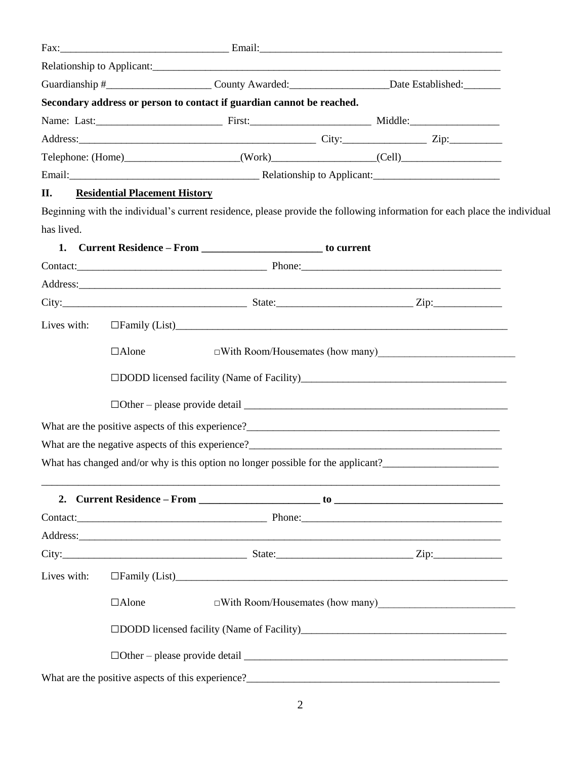|             |                                      |                                                                       | Guardianship #____________________________County Awarded:_______________________Date Established:_________                |  |
|-------------|--------------------------------------|-----------------------------------------------------------------------|---------------------------------------------------------------------------------------------------------------------------|--|
|             |                                      | Secondary address or person to contact if guardian cannot be reached. |                                                                                                                           |  |
|             |                                      |                                                                       |                                                                                                                           |  |
|             |                                      |                                                                       |                                                                                                                           |  |
|             |                                      |                                                                       | Telephone: (Home)______________________(Work)________________(Cell)______________                                         |  |
|             |                                      |                                                                       |                                                                                                                           |  |
| П.          | <b>Residential Placement History</b> |                                                                       |                                                                                                                           |  |
|             |                                      |                                                                       | Beginning with the individual's current residence, please provide the following information for each place the individual |  |
| has lived.  |                                      |                                                                       |                                                                                                                           |  |
| 1.          |                                      | Current Residence – From ___________________________ to current       |                                                                                                                           |  |
|             |                                      |                                                                       |                                                                                                                           |  |
|             |                                      |                                                                       |                                                                                                                           |  |
|             |                                      |                                                                       | City: $\frac{1}{2}$ Zip:                                                                                                  |  |
| Lives with: |                                      |                                                                       |                                                                                                                           |  |
|             | $\Box$ Alone                         |                                                                       | $\Box$ With Room/Housemates (how many)                                                                                    |  |
|             |                                      |                                                                       |                                                                                                                           |  |
|             |                                      |                                                                       |                                                                                                                           |  |
|             |                                      |                                                                       |                                                                                                                           |  |
|             |                                      |                                                                       |                                                                                                                           |  |
|             |                                      |                                                                       | What has changed and/or why is this option no longer possible for the applicant?                                          |  |
|             |                                      |                                                                       |                                                                                                                           |  |
|             |                                      |                                                                       |                                                                                                                           |  |
|             |                                      |                                                                       |                                                                                                                           |  |
|             |                                      |                                                                       |                                                                                                                           |  |
| Lives with: |                                      |                                                                       | □Family (List)<br><u>□Family</u> (List)                                                                                   |  |
|             | $\Box$ Alone                         |                                                                       | □With Room/Housemates (how many)<br><u>□With Room/Housemates</u> (how many)                                               |  |
|             |                                      |                                                                       | □DODD licensed facility (Name of Facility)<br>□                                                                           |  |
|             |                                      |                                                                       |                                                                                                                           |  |
|             |                                      |                                                                       |                                                                                                                           |  |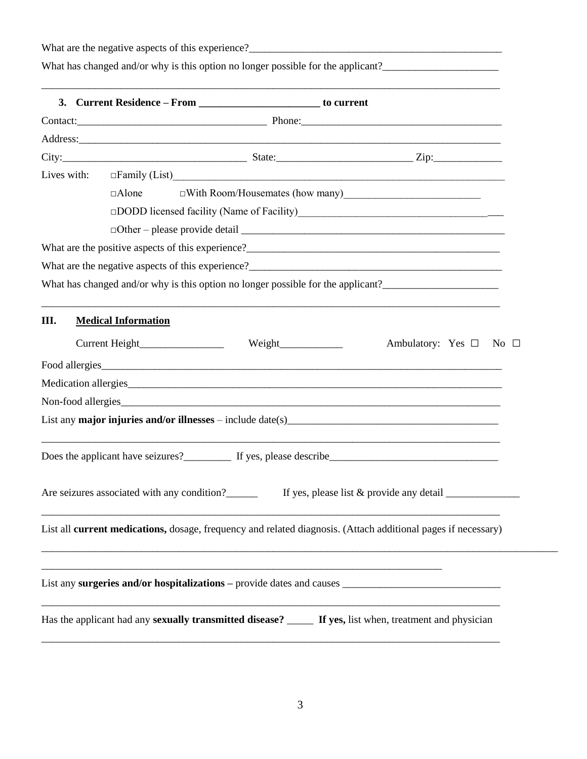What are the negative aspects of this experience? What has changed and/or why is this option no longer possible for the applicant? \_\_\_\_\_\_\_\_\_\_\_\_\_\_\_\_\_\_\_\_\_\_\_\_\_\_\_\_\_\_\_\_\_\_\_\_\_\_\_\_\_\_\_\_\_\_\_\_\_\_\_\_\_\_\_\_\_\_\_\_\_\_\_\_\_\_\_\_\_\_\_\_\_\_\_\_\_\_\_\_\_\_\_\_\_\_\_ **3. Current Residence – From \_\_\_\_\_\_\_\_\_\_\_\_\_\_\_\_\_\_\_\_\_\_\_ to current** Contact:\_\_\_\_\_\_\_\_\_\_\_\_\_\_\_\_\_\_\_\_\_\_\_\_\_\_\_\_\_\_\_\_\_\_\_\_ Phone:\_\_\_\_\_\_\_\_\_\_\_\_\_\_\_\_\_\_\_\_\_\_\_\_\_\_\_\_\_\_\_\_\_\_\_\_\_\_ Address:  $City:$   $\qquad \qquad \qquad$   $\qquad \qquad$   $\qquad \qquad$   $State:$   $\qquad \qquad$   $\qquad \qquad$   $\qquad \qquad$   $\qquad \qquad$   $\qquad \qquad$   $\qquad \qquad$   $\qquad \qquad$   $\qquad \qquad$   $\qquad \qquad$   $\qquad \qquad$   $\qquad \qquad$   $\qquad \qquad$   $\qquad \qquad$   $\qquad \qquad$   $\qquad \qquad$   $\qquad \qquad$   $\qquad \qquad$   $\qquad \qquad$   $\qquad \qquad$   $\qquad \qquad$ Lives with:  $\square$  Family (List) □Alone □With Room/Housemates (how many)  $\Box$ DODD licensed facility (Name of Facility)  $\Box$  Other – please provide detail What are the positive aspects of this experience?\_\_\_\_\_\_\_\_\_\_\_\_\_\_\_\_\_\_\_\_\_\_\_\_\_\_\_\_\_\_\_\_\_\_\_\_\_\_\_\_\_\_\_\_\_\_\_\_ What are the negative aspects of this experience?\_\_\_\_\_\_\_\_\_\_\_\_\_\_\_\_\_\_\_\_\_\_\_\_\_\_\_\_\_\_\_\_\_\_\_\_\_\_\_\_\_\_\_\_\_\_\_\_ What has changed and/or why is this option no longer possible for the applicant?\_\_\_\_\_\_\_\_\_\_\_\_\_\_\_\_\_\_\_\_\_\_ \_\_\_\_\_\_\_\_\_\_\_\_\_\_\_\_\_\_\_\_\_\_\_\_\_\_\_\_\_\_\_\_\_\_\_\_\_\_\_\_\_\_\_\_\_\_\_\_\_\_\_\_\_\_\_\_\_\_\_\_\_\_\_\_\_\_\_\_\_\_\_\_\_\_\_\_\_\_\_\_\_\_\_\_\_\_\_ **III. Medical Information** Current Height\_\_\_\_\_\_\_\_\_\_\_\_\_\_\_\_\_\_ Weight\_\_\_\_\_\_\_\_\_\_\_\_\_\_ Ambulatory: Yes □ No □ Food allergies Medication allergies Non-food allergies List any **major injuries and/or illnesses** – include date(s)\_\_\_\_\_\_\_\_\_\_\_\_\_\_\_\_\_\_\_\_\_\_\_\_\_\_\_\_\_\_\_\_\_\_\_\_\_\_\_\_ \_\_\_\_\_\_\_\_\_\_\_\_\_\_\_\_\_\_\_\_\_\_\_\_\_\_\_\_\_\_\_\_\_\_\_\_\_\_\_\_\_\_\_\_\_\_\_\_\_\_\_\_\_\_\_\_\_\_\_\_\_\_\_\_\_\_\_\_\_\_\_\_\_\_\_\_\_\_\_\_\_\_\_\_\_\_\_ Does the applicant have seizures?\_\_\_\_\_\_\_\_\_ If yes, please describe\_\_\_\_\_\_\_\_\_\_\_\_\_\_\_\_\_\_\_\_\_\_\_\_\_\_\_\_\_\_\_\_ Are seizures associated with any condition? If yes, please list  $&$  provide any detail \_\_\_\_\_\_\_\_\_\_\_\_\_\_\_\_\_\_\_\_\_\_\_\_\_\_\_\_\_\_\_\_\_\_\_\_\_\_\_\_\_\_\_\_\_\_\_\_\_\_\_\_\_\_\_\_\_\_\_\_\_\_\_\_\_\_\_\_\_\_\_\_\_\_\_\_\_\_\_\_\_\_\_\_\_\_\_ List all **current medications,** dosage, frequency and related diagnosis. (Attach additional pages if necessary) \_\_\_\_\_\_\_\_\_\_\_\_\_\_\_\_\_\_\_\_\_\_\_\_\_\_\_\_\_\_\_\_\_\_\_\_\_\_\_\_\_\_\_\_\_\_\_\_\_\_\_\_\_\_\_\_\_\_\_\_\_\_\_\_\_\_\_\_\_\_\_\_\_\_\_\_\_\_\_\_\_\_\_\_\_\_\_\_\_\_\_\_\_\_\_\_\_\_ \_\_\_\_\_\_\_\_\_\_\_\_\_\_\_\_\_\_\_\_\_\_\_\_\_\_\_\_\_\_\_\_\_\_\_\_\_\_\_\_\_\_\_\_\_\_\_\_\_\_\_\_\_\_\_\_\_\_\_\_\_\_\_\_\_\_\_\_\_\_\_\_\_\_\_\_ List any **surgeries and/or hospitalizations** – provide dates and causes \_\_\_\_\_\_\_\_\_\_\_\_\_\_\_\_\_\_\_\_\_\_\_\_\_\_\_\_\_\_\_\_\_\_\_\_\_\_\_\_\_\_\_\_\_\_\_\_\_\_\_\_\_\_\_\_\_\_\_\_\_\_\_\_\_\_\_\_\_\_\_\_\_\_\_\_\_\_\_\_\_\_\_\_\_\_\_ Has the applicant had any **sexually transmitted disease?** \_\_\_\_\_ **If yes,** list when, treatment and physician

\_\_\_\_\_\_\_\_\_\_\_\_\_\_\_\_\_\_\_\_\_\_\_\_\_\_\_\_\_\_\_\_\_\_\_\_\_\_\_\_\_\_\_\_\_\_\_\_\_\_\_\_\_\_\_\_\_\_\_\_\_\_\_\_\_\_\_\_\_\_\_\_\_\_\_\_\_\_\_\_\_\_\_\_\_\_\_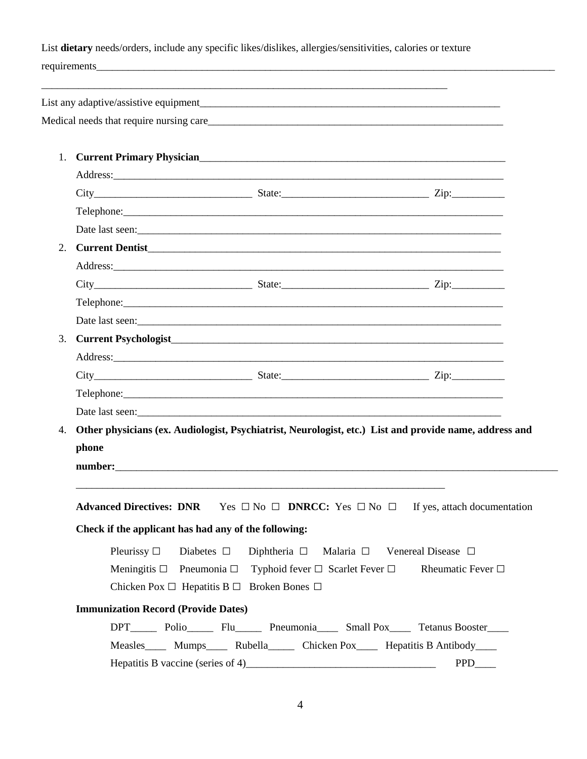List **dietary** needs/orders, include any specific likes/dislikes, allergies/sensitivities, calories or texture requirements \_\_\_\_\_\_\_\_\_\_\_\_\_\_\_\_\_\_\_\_\_\_\_\_\_\_\_\_\_\_\_\_\_\_\_\_\_\_\_\_\_\_\_\_\_\_\_\_\_\_\_\_\_\_\_\_\_\_\_\_\_\_\_\_\_\_\_\_\_\_\_\_\_\_\_\_\_ List any adaptive/assistive equipment Medical needs that require nursing care\_\_\_\_\_\_\_\_\_\_\_\_\_\_\_\_\_\_\_\_\_\_\_\_\_\_\_\_\_\_\_\_\_\_\_\_\_\_\_\_\_\_\_\_\_\_\_\_\_\_\_\_\_\_\_\_ 1. **Current Primary Physician**\_\_\_\_\_\_\_\_\_\_\_\_\_\_\_\_\_\_\_\_\_\_\_\_\_\_\_\_\_\_\_\_\_\_\_\_\_\_\_\_\_\_\_\_\_\_\_\_\_\_\_\_\_\_\_\_\_\_ Address: City\_\_\_\_\_\_\_\_\_\_\_\_\_\_\_\_\_\_\_\_\_\_\_\_\_\_\_\_\_\_ State:\_\_\_\_\_\_\_\_\_\_\_\_\_\_\_\_\_\_\_\_\_\_\_\_\_\_\_\_ Zip:\_\_\_\_\_\_\_\_\_\_ Telephone: Date last seen: 2. **Current Dentist**\_\_\_\_\_\_\_\_\_\_\_\_\_\_\_\_\_\_\_\_\_\_\_\_\_\_\_\_\_\_\_\_\_\_\_\_\_\_\_\_\_\_\_\_\_\_\_\_\_\_\_\_\_\_\_\_\_\_\_\_\_\_\_\_\_\_\_ Address:\_\_\_\_\_\_\_\_\_\_\_\_\_\_\_\_\_\_\_\_\_\_\_\_\_\_\_\_\_\_\_\_\_\_\_\_\_\_\_\_\_\_\_\_\_\_\_\_\_\_\_\_\_\_\_\_\_\_\_\_\_\_\_\_\_\_\_\_\_\_\_\_\_\_ City\_\_\_\_\_\_\_\_\_\_\_\_\_\_\_\_\_\_\_\_\_\_\_\_\_\_\_\_\_\_ State:\_\_\_\_\_\_\_\_\_\_\_\_\_\_\_\_\_\_\_\_\_\_\_\_\_\_\_\_ Zip:\_\_\_\_\_\_\_\_\_\_ Telephone: Date last seen: 3. **Current Psychologist**\_\_\_\_\_\_\_\_\_\_\_\_\_\_\_\_\_\_\_\_\_\_\_\_\_\_\_\_\_\_\_\_\_\_\_\_\_\_\_\_\_\_\_\_\_\_\_\_\_\_\_\_\_\_\_\_\_\_\_\_\_\_\_ Address:\_\_\_\_\_\_\_\_\_\_\_\_\_\_\_\_\_\_\_\_\_\_\_\_\_\_\_\_\_\_\_\_\_\_\_\_\_\_\_\_\_\_\_\_\_\_\_\_\_\_\_\_\_\_\_\_\_\_\_\_\_\_\_\_\_\_\_\_\_\_\_\_\_\_ City State: 2ip:  $\text{Telephone:}\qquad \qquad \blacksquare$ Date last seen: 4. **Other physicians (ex. Audiologist, Psychiatrist, Neurologist, etc.) List and provide name, address and phone number:**\_\_\_\_\_\_\_\_\_\_\_\_\_\_\_\_\_\_\_\_\_\_\_\_\_\_\_\_\_\_\_\_\_\_\_\_\_\_\_\_\_\_\_\_\_\_\_\_\_\_\_\_\_\_\_\_\_\_\_\_\_\_\_\_\_\_\_\_\_\_\_\_\_\_\_\_\_\_\_\_\_\_\_\_ \_\_\_\_\_\_\_\_\_\_\_\_\_\_\_\_\_\_\_\_\_\_\_\_\_\_\_\_\_\_\_\_\_\_\_\_\_\_\_\_\_\_\_\_\_\_\_\_\_\_\_\_\_\_\_\_\_\_\_\_\_\_\_\_\_\_\_\_\_\_ **Advanced Directives: DNR** Yes □ No □ **DNRCC:** Yes □ No □ If yes, attach documentation **Check if the applicant has had any of the following:** Pleurissy □ Diabetes □ Diphtheria □ Malaria □ Venereal Disease □ Meningitis □ Pneumonia □ Typhoid fever □ Scarlet Fever □ Rheumatic Fever □ Chicken Pox □ Hepatitis B □ Broken Bones □ **Immunization Record (Provide Dates)** DPT Polio\_\_\_\_\_ Flu\_\_\_\_\_ Pneumonia\_\_\_\_ Small Pox\_\_\_\_ Tetanus Booster\_\_\_\_ Measles\_\_\_\_\_ Mumps\_\_\_\_\_ Rubella\_\_\_\_\_\_ Chicken Pox\_\_\_\_\_ Hepatitis B Antibody\_\_\_\_ Hepatitis B vaccine (series of 4)\_\_\_\_\_\_\_\_\_\_\_\_\_\_\_\_\_\_\_\_\_\_\_\_\_\_\_\_\_\_\_\_\_\_\_\_ PPD\_\_\_\_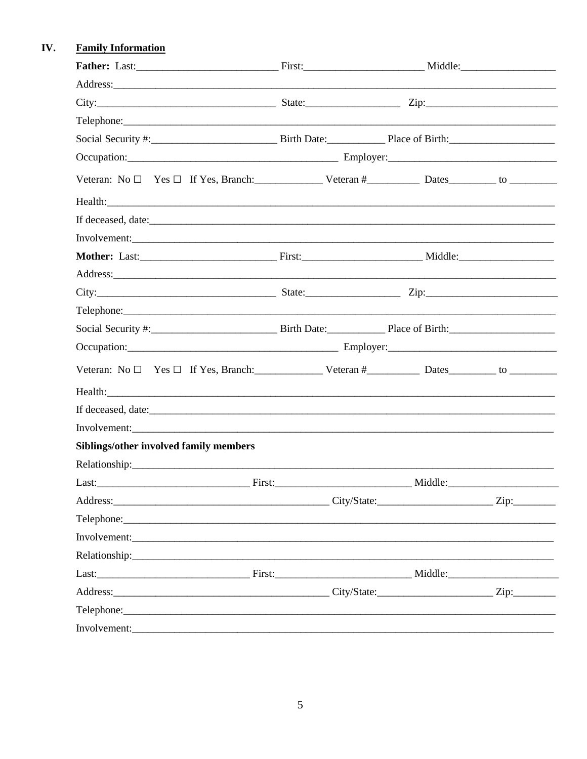#### IV. **Family Information**

| City: City: City: City: City: City: City: City: City: City: City: City: City: City: City: City: City: City: City: City: City: City: City: City: City: City: City: City: City: City: City: City: City: City: City: City: City:       |         |  |
|-------------------------------------------------------------------------------------------------------------------------------------------------------------------------------------------------------------------------------------|---------|--|
|                                                                                                                                                                                                                                     |         |  |
|                                                                                                                                                                                                                                     |         |  |
|                                                                                                                                                                                                                                     |         |  |
| Veteran: $No \Box$ Yes $\Box$ If Yes, Branch: Veteran # Dates Dates by Dates by Dates by $DoI$                                                                                                                                      |         |  |
|                                                                                                                                                                                                                                     |         |  |
| If deceased, date:                                                                                                                                                                                                                  |         |  |
| Involvement:                                                                                                                                                                                                                        |         |  |
|                                                                                                                                                                                                                                     |         |  |
| Address: and the contract of the contract of the contract of the contract of the contract of the contract of the contract of the contract of the contract of the contract of the contract of the contract of the contract of t      |         |  |
|                                                                                                                                                                                                                                     |         |  |
|                                                                                                                                                                                                                                     |         |  |
|                                                                                                                                                                                                                                     |         |  |
| Occupation: Contact Contact Contact Contact Contact Contact Contact Contact Contact Contact Contact Contact Contact Contact Contact Contact Contact Contact Contact Contact Contact Contact Contact Contact Contact Contact Co      |         |  |
| Veteran: $No \Box$ Yes $\Box$ If Yes, Branch: Veteran # Dates Dates both Dates both $\Box$ is the vector of $\Box$                                                                                                                  |         |  |
| Health: <u>Alexander Communication</u> Control of the Communication Communication Communication Communication Communication Communication Communication Communication Communication Communication Communication Communication Commu |         |  |
|                                                                                                                                                                                                                                     |         |  |
|                                                                                                                                                                                                                                     |         |  |
| Siblings/other involved family members                                                                                                                                                                                              |         |  |
|                                                                                                                                                                                                                                     |         |  |
|                                                                                                                                                                                                                                     | Middle: |  |
|                                                                                                                                                                                                                                     |         |  |
|                                                                                                                                                                                                                                     |         |  |
|                                                                                                                                                                                                                                     |         |  |
|                                                                                                                                                                                                                                     |         |  |
| Last: Middle: Middle: Middle: Middle: Middle: Middle: Middle: Middle: Middle: Middle: Middle: Middle: Middle: Middle: Middle: Middle: Middle: Middle: Middle: Middle: Middle: Middle: Middle: Middle: Middle: Middle: Middle:       |         |  |
| Address: Zip: Zip: Zip:                                                                                                                                                                                                             |         |  |
|                                                                                                                                                                                                                                     |         |  |
| Involvement:                                                                                                                                                                                                                        |         |  |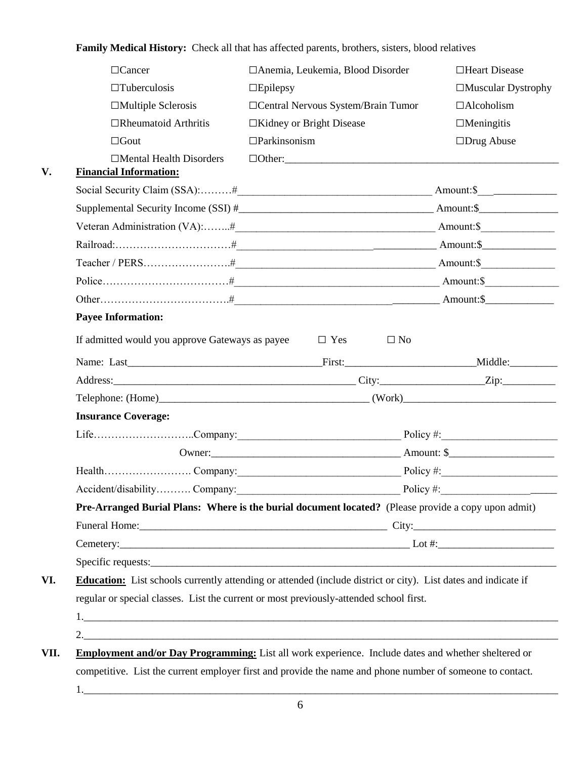**Family Medical History:** Check all that has affected parents, brothers, sisters, blood relatives

|                           | $\Box$ Cancer                                   | □ Anemia, Leukemia, Blood Disorder                                                                                    | □Heart Disease      |
|---------------------------|-------------------------------------------------|-----------------------------------------------------------------------------------------------------------------------|---------------------|
|                           | $\Box$ Tuberculosis                             | $\square$ Epilepsy                                                                                                    | □Muscular Dystrophy |
|                           | $\Box$ Multiple Sclerosis                       | □ Central Nervous System/Brain Tumor                                                                                  | $\Box$ Alcoholism   |
|                           | $\Box$ Rheumatoid Arthritis                     | $\Box$ Kidney or Bright Disease                                                                                       | $\Box$ Meningitis   |
|                           | $\Box$ Gout                                     | $\Box$ Parkinsonism                                                                                                   | $\Box$ Drug Abuse   |
|                           | $\Box$ Mental Health Disorders                  |                                                                                                                       |                     |
|                           | <b>Financial Information:</b>                   |                                                                                                                       |                     |
|                           |                                                 |                                                                                                                       |                     |
|                           |                                                 |                                                                                                                       |                     |
|                           |                                                 |                                                                                                                       |                     |
|                           |                                                 |                                                                                                                       |                     |
|                           |                                                 |                                                                                                                       |                     |
|                           |                                                 |                                                                                                                       |                     |
|                           |                                                 |                                                                                                                       |                     |
| <b>Payee Information:</b> |                                                 |                                                                                                                       |                     |
|                           | If admitted would you approve Gateways as payee | $\Box$ Yes<br>$\Box$ No                                                                                               |                     |
|                           |                                                 |                                                                                                                       |                     |
|                           |                                                 |                                                                                                                       |                     |
|                           |                                                 |                                                                                                                       |                     |
|                           | <b>Insurance Coverage:</b>                      |                                                                                                                       |                     |
|                           |                                                 |                                                                                                                       |                     |
|                           |                                                 |                                                                                                                       |                     |
|                           |                                                 |                                                                                                                       |                     |
|                           | Accident/disability Company:                    |                                                                                                                       | Policy #:           |
|                           |                                                 | Pre-Arranged Burial Plans: Where is the burial document located? (Please provide a copy upon admit)                   |                     |
|                           |                                                 |                                                                                                                       |                     |
|                           |                                                 |                                                                                                                       |                     |
|                           |                                                 |                                                                                                                       |                     |
|                           |                                                 | <b>Education:</b> List schools currently attending or attended (include district or city). List dates and indicate if |                     |
| VI.                       |                                                 | regular or special classes. List the current or most previously-attended school first.                                |                     |
|                           |                                                 |                                                                                                                       |                     |
|                           |                                                 |                                                                                                                       |                     |
| VII.                      |                                                 | Employment and/or Day Programming: List all work experience. Include dates and whether sheltered or                   |                     |
|                           |                                                 | competitive. List the current employer first and provide the name and phone number of someone to contact.             |                     |
|                           |                                                 |                                                                                                                       |                     |
|                           |                                                 |                                                                                                                       |                     |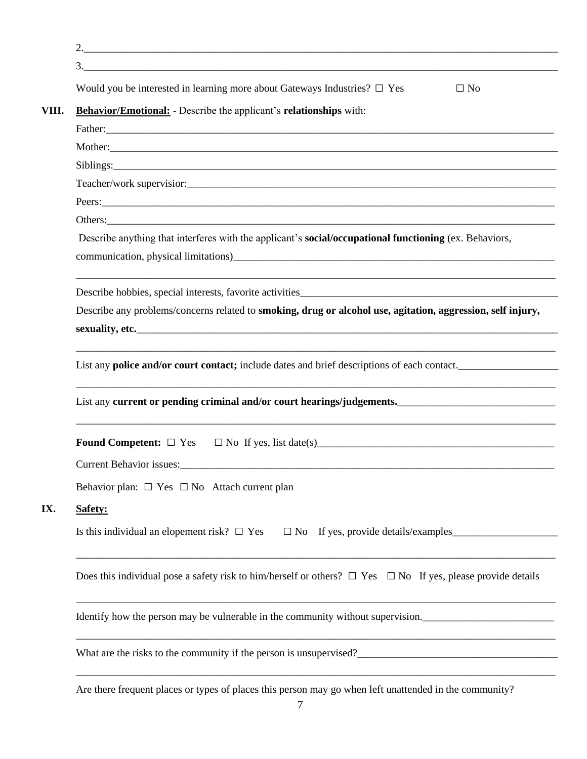| 3.                                                                                                                                                                                                                             |
|--------------------------------------------------------------------------------------------------------------------------------------------------------------------------------------------------------------------------------|
| Would you be interested in learning more about Gateways Industries? $\Box$ Yes<br>$\Box$ No                                                                                                                                    |
| Behavior/Emotional: - Describe the applicant's relationships with:                                                                                                                                                             |
|                                                                                                                                                                                                                                |
|                                                                                                                                                                                                                                |
| Siblings:                                                                                                                                                                                                                      |
|                                                                                                                                                                                                                                |
| Peers: New York Contract the Contract of the Contract of the Contract of the Contract of the Contract of the Contract of the Contract of the Contract of the Contract of the Contract of the Contract of the Contract of the C |
|                                                                                                                                                                                                                                |
| Describe anything that interferes with the applicant's <b>social/occupational functioning</b> (ex. Behaviors,                                                                                                                  |
| communication, physical limitations)                                                                                                                                                                                           |
|                                                                                                                                                                                                                                |
| Describe any problems/concerns related to smoking, drug or alcohol use, agitation, aggression, self injury,                                                                                                                    |
|                                                                                                                                                                                                                                |
| List any current or pending criminal and/or court hearings/judgements.                                                                                                                                                         |
|                                                                                                                                                                                                                                |
| Current Behavior issues:                                                                                                                                                                                                       |
| Behavior plan: $\Box$ Yes $\Box$ No Attach current plan                                                                                                                                                                        |
| Safety:                                                                                                                                                                                                                        |
| Is this individual an elopement risk? $\Box$ Yes $\Box$ No If yes, provide details/examples                                                                                                                                    |
|                                                                                                                                                                                                                                |
|                                                                                                                                                                                                                                |
| Does this individual pose a safety risk to him/herself or others? $\Box$ Yes $\Box$ No If yes, please provide details<br>Identify how the person may be vulnerable in the community without supervision.                       |
|                                                                                                                                                                                                                                |